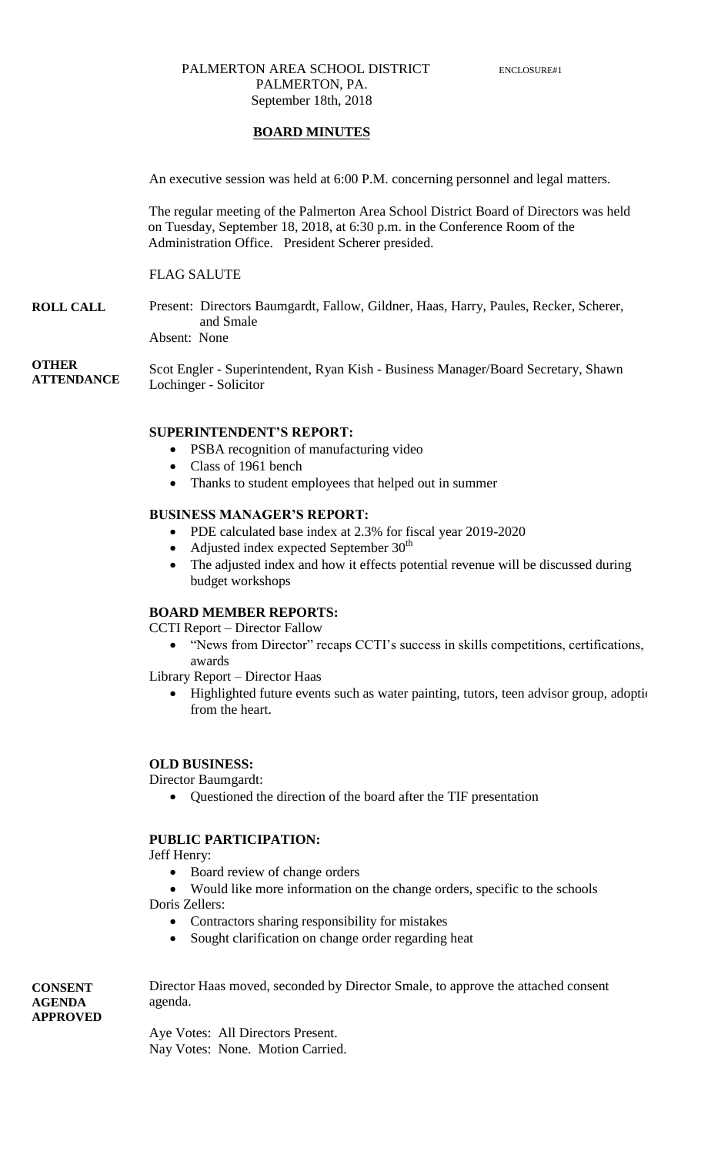### PALMERTON AREA SCHOOL DISTRICT ENCLOSURE#1 PALMERTON, PA. September 18th, 2018

### **BOARD MINUTES**

An executive session was held at 6:00 P.M. concerning personnel and legal matters.

The regular meeting of the Palmerton Area School District Board of Directors was held on Tuesday, September 18, 2018, at 6:30 p.m. in the Conference Room of the Administration Office. President Scherer presided.

### FLAG SALUTE

**ROLL CALL**

**CONSENT AGENDA APPROVED** Present: Directors Baumgardt, Fallow, Gildner, Haas, Harry, Paules, Recker, Scherer, and Smale

Absent: None

**OTHER ATTENDANCE** Scot Engler - Superintendent, Ryan Kish - Business Manager/Board Secretary, Shawn Lochinger - Solicitor

### **SUPERINTENDENT'S REPORT:**

- PSBA recognition of manufacturing video
- Class of 1961 bench
- Thanks to student employees that helped out in summer

#### **BUSINESS MANAGER'S REPORT:**

- PDE calculated base index at 2.3% for fiscal year 2019-2020
- Adjusted index expected September  $30<sup>th</sup>$
- The adjusted index and how it effects potential revenue will be discussed during budget workshops

### **BOARD MEMBER REPORTS:**

CCTI Report – Director Fallow

" "News from Director" recaps CCTI's success in skills competitions, certifications, awards

Library Report – Director Haas

• Highlighted future events such as water painting, tutors, teen advisor group, adoptic from the heart.

#### **OLD BUSINESS:**

Director Baumgardt:

Questioned the direction of the board after the TIF presentation

### **PUBLIC PARTICIPATION:**

Jeff Henry:

• Board review of change orders

 Would like more information on the change orders, specific to the schools Doris Zellers:

- Contractors sharing responsibility for mistakes
- Sought clarification on change order regarding heat

Director Haas moved, seconded by Director Smale, to approve the attached consent agenda.

Aye Votes: All Directors Present. Nay Votes: None. Motion Carried.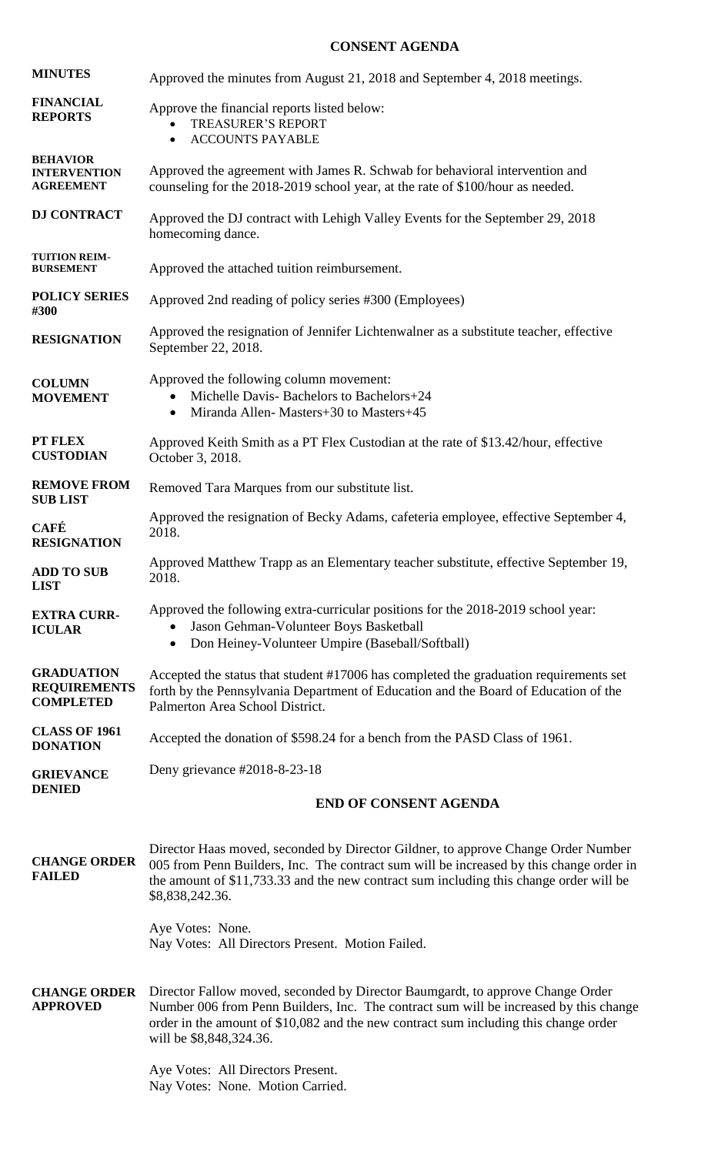## **CONSENT AGENDA**

| <b>MINUTES</b>                                               | Approved the minutes from August 21, 2018 and September 4, 2018 meetings.                                                                                                                                                                                                                  |
|--------------------------------------------------------------|--------------------------------------------------------------------------------------------------------------------------------------------------------------------------------------------------------------------------------------------------------------------------------------------|
| <b>FINANCIAL</b><br><b>REPORTS</b>                           | Approve the financial reports listed below:<br><b>TREASURER'S REPORT</b><br><b>ACCOUNTS PAYABLE</b><br>$\bullet$                                                                                                                                                                           |
| <b>BEHAVIOR</b><br><b>INTERVENTION</b><br><b>AGREEMENT</b>   | Approved the agreement with James R. Schwab for behavioral intervention and<br>counseling for the 2018-2019 school year, at the rate of \$100/hour as needed.                                                                                                                              |
| <b>DJ CONTRACT</b>                                           | Approved the DJ contract with Lehigh Valley Events for the September 29, 2018<br>homecoming dance.                                                                                                                                                                                         |
| <b>TUITION REIM-</b><br><b>BURSEMENT</b>                     | Approved the attached tuition reimbursement.                                                                                                                                                                                                                                               |
| <b>POLICY SERIES</b><br>#300                                 | Approved 2nd reading of policy series #300 (Employees)                                                                                                                                                                                                                                     |
| <b>RESIGNATION</b>                                           | Approved the resignation of Jennifer Lichtenwalner as a substitute teacher, effective<br>September 22, 2018.                                                                                                                                                                               |
| <b>COLUMN</b><br><b>MOVEMENT</b>                             | Approved the following column movement:<br>Michelle Davis-Bachelors to Bachelors+24<br>$\bullet$<br>Miranda Allen-Masters+30 to Masters+45<br>$\bullet$                                                                                                                                    |
| PT FLEX<br><b>CUSTODIAN</b>                                  | Approved Keith Smith as a PT Flex Custodian at the rate of \$13.42/hour, effective<br>October 3, 2018.                                                                                                                                                                                     |
| <b>REMOVE FROM</b><br><b>SUB LIST</b>                        | Removed Tara Marques from our substitute list.                                                                                                                                                                                                                                             |
| <b>CAFÉ</b><br><b>RESIGNATION</b>                            | Approved the resignation of Becky Adams, cafeteria employee, effective September 4,<br>2018.                                                                                                                                                                                               |
| <b>ADD TO SUB</b><br><b>LIST</b>                             | Approved Matthew Trapp as an Elementary teacher substitute, effective September 19,<br>2018.                                                                                                                                                                                               |
| <b>EXTRA CURR-</b><br><b>ICULAR</b>                          | Approved the following extra-curricular positions for the 2018-2019 school year:<br>Jason Gehman-Volunteer Boys Basketball<br>Don Heiney-Volunteer Umpire (Baseball/Softball)<br>$\bullet$                                                                                                 |
| <b>GRADUATION</b><br><b>REQUIREMENTS</b><br><b>COMPLETED</b> | Accepted the status that student #17006 has completed the graduation requirements set<br>forth by the Pennsylvania Department of Education and the Board of Education of the<br>Palmerton Area School District.                                                                            |
| <b>CLASS OF 1961</b><br><b>DONATION</b>                      | Accepted the donation of \$598.24 for a bench from the PASD Class of 1961.                                                                                                                                                                                                                 |
| <b>GRIEVANCE</b><br><b>DENIED</b>                            | Deny grievance #2018-8-23-18                                                                                                                                                                                                                                                               |
|                                                              | <b>END OF CONSENT AGENDA</b>                                                                                                                                                                                                                                                               |
| <b>CHANGE ORDER</b><br><b>FAILED</b>                         | Director Haas moved, seconded by Director Gildner, to approve Change Order Number<br>005 from Penn Builders, Inc. The contract sum will be increased by this change order in<br>the amount of \$11,733.33 and the new contract sum including this change order will be<br>\$8,838,242.36.  |
|                                                              | Aye Votes: None.<br>Nay Votes: All Directors Present. Motion Failed.                                                                                                                                                                                                                       |
| <b>CHANGE ORDER</b><br><b>APPROVED</b>                       | Director Fallow moved, seconded by Director Baumgardt, to approve Change Order<br>Number 006 from Penn Builders, Inc. The contract sum will be increased by this change<br>order in the amount of \$10,082 and the new contract sum including this change order<br>will be \$8,848,324.36. |
|                                                              | Aye Votes: All Directors Present.<br>Nay Votes: None. Motion Carried.                                                                                                                                                                                                                      |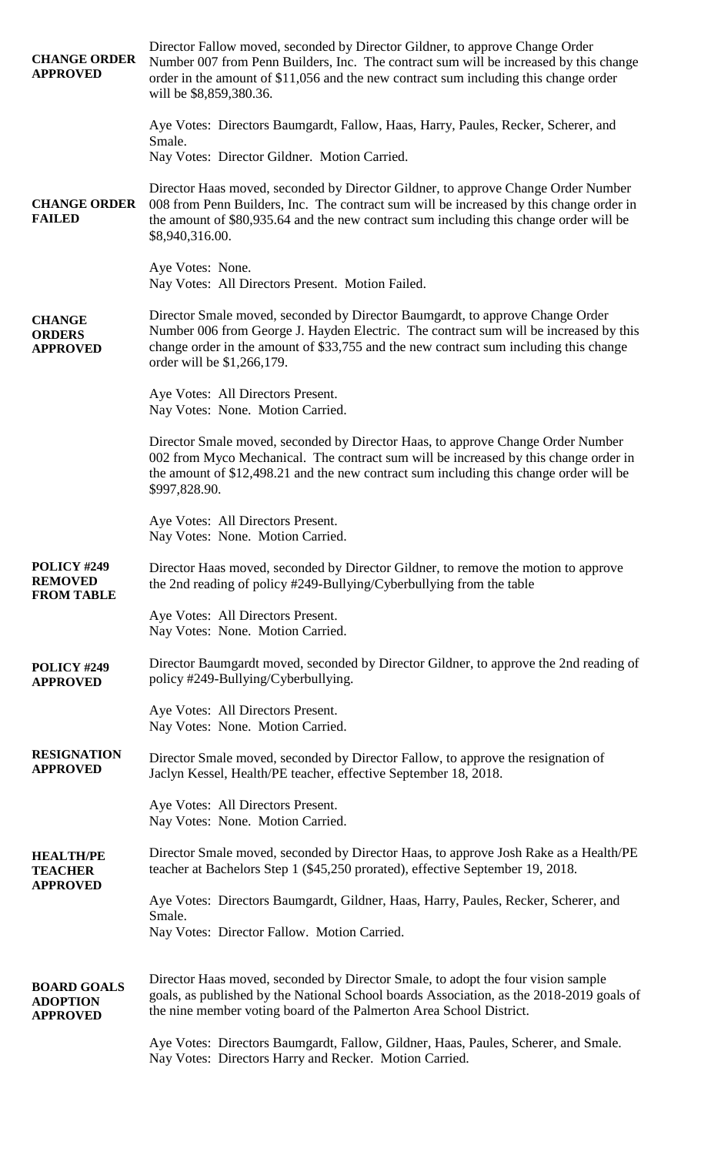| <b>CHANGE ORDER</b><br><b>APPROVED</b>                   | Director Fallow moved, seconded by Director Gildner, to approve Change Order<br>Number 007 from Penn Builders, Inc. The contract sum will be increased by this change<br>order in the amount of \$11,056 and the new contract sum including this change order<br>will be \$8,859,380.36.      |
|----------------------------------------------------------|-----------------------------------------------------------------------------------------------------------------------------------------------------------------------------------------------------------------------------------------------------------------------------------------------|
|                                                          | Aye Votes: Directors Baumgardt, Fallow, Haas, Harry, Paules, Recker, Scherer, and<br>Smale.                                                                                                                                                                                                   |
|                                                          | Nay Votes: Director Gildner. Motion Carried.                                                                                                                                                                                                                                                  |
| <b>CHANGE ORDER</b><br><b>FAILED</b>                     | Director Haas moved, seconded by Director Gildner, to approve Change Order Number<br>008 from Penn Builders, Inc. The contract sum will be increased by this change order in<br>the amount of \$80,935.64 and the new contract sum including this change order will be<br>\$8,940,316.00.     |
|                                                          | Aye Votes: None.<br>Nay Votes: All Directors Present. Motion Failed.                                                                                                                                                                                                                          |
| <b>CHANGE</b><br><b>ORDERS</b><br><b>APPROVED</b>        | Director Smale moved, seconded by Director Baumgardt, to approve Change Order<br>Number 006 from George J. Hayden Electric. The contract sum will be increased by this<br>change order in the amount of \$33,755 and the new contract sum including this change<br>order will be \$1,266,179. |
|                                                          | Aye Votes: All Directors Present.<br>Nay Votes: None. Motion Carried.                                                                                                                                                                                                                         |
|                                                          | Director Smale moved, seconded by Director Haas, to approve Change Order Number<br>002 from Myco Mechanical. The contract sum will be increased by this change order in<br>the amount of \$12,498.21 and the new contract sum including this change order will be<br>\$997,828.90.            |
|                                                          | Aye Votes: All Directors Present.<br>Nay Votes: None. Motion Carried.                                                                                                                                                                                                                         |
| POLICY #249<br><b>REMOVED</b><br><b>FROM TABLE</b>       | Director Haas moved, seconded by Director Gildner, to remove the motion to approve<br>the 2nd reading of policy #249-Bullying/Cyberbullying from the table                                                                                                                                    |
|                                                          | Aye Votes: All Directors Present.<br>Nay Votes: None. Motion Carried.                                                                                                                                                                                                                         |
| POLICY #249<br><b>APPROVED</b>                           | Director Baumgardt moved, seconded by Director Gildner, to approve the 2nd reading of<br>policy #249-Bullying/Cyberbullying.                                                                                                                                                                  |
|                                                          | Aye Votes: All Directors Present.<br>Nay Votes: None. Motion Carried.                                                                                                                                                                                                                         |
| <b>RESIGNATION</b><br><b>APPROVED</b>                    | Director Smale moved, seconded by Director Fallow, to approve the resignation of<br>Jaclyn Kessel, Health/PE teacher, effective September 18, 2018.                                                                                                                                           |
|                                                          | Aye Votes: All Directors Present.<br>Nay Votes: None. Motion Carried.                                                                                                                                                                                                                         |
| <b>HEALTH/PE</b><br><b>TEACHER</b>                       | Director Smale moved, seconded by Director Haas, to approve Josh Rake as a Health/PE<br>teacher at Bachelors Step 1 (\$45,250 prorated), effective September 19, 2018.                                                                                                                        |
| <b>APPROVED</b>                                          | Aye Votes: Directors Baumgardt, Gildner, Haas, Harry, Paules, Recker, Scherer, and<br>Smale.                                                                                                                                                                                                  |
|                                                          | Nay Votes: Director Fallow. Motion Carried.                                                                                                                                                                                                                                                   |
| <b>BOARD GOALS</b><br><b>ADOPTION</b><br><b>APPROVED</b> | Director Haas moved, seconded by Director Smale, to adopt the four vision sample<br>goals, as published by the National School boards Association, as the 2018-2019 goals of<br>the nine member voting board of the Palmerton Area School District.                                           |
|                                                          | Aye Votes: Directors Baumgardt, Fallow, Gildner, Haas, Paules, Scherer, and Smale.<br>Nay Votes: Directors Harry and Recker. Motion Carried.                                                                                                                                                  |